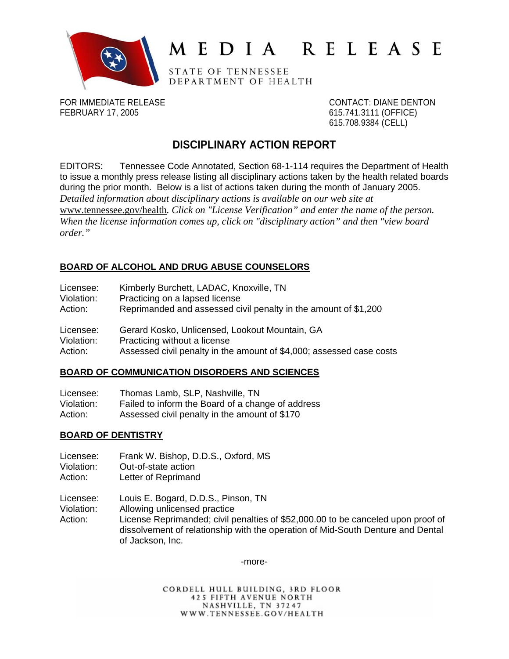

# MEDIA RELEASE

STATE OF TENNESSEE DEPARTMENT OF HEALTH

FOR IMMEDIATE RELEASE CONTACT: DIANE DENTON FEBRUARY 17, 2005 615.741.3111 (OFFICE)

615.708.9384 (CELL)

# **DISCIPLINARY ACTION REPORT**

EDITORS: Tennessee Code Annotated, Section 68-1-114 requires the Department of Health to issue a monthly press release listing all disciplinary actions taken by the health related boards during the prior month. Below is a list of actions taken during the month of January 2005. *Detailed information about disciplinary actions is available on our web site at*  [www.tennessee.gov/health](http://www.tennessee.gov/health)*. Click on "License Verification" and enter the name of the person. When the license information comes up, click on "disciplinary action" and then "view board order."* 

## **BOARD OF ALCOHOL AND DRUG ABUSE COUNSELORS**

| Licensee:  | Kimberly Burchett, LADAC, Knoxville, TN                              |
|------------|----------------------------------------------------------------------|
| Violation: | Practicing on a lapsed license                                       |
| Action:    | Reprimanded and assessed civil penalty in the amount of \$1,200      |
| Licensee:  | Gerard Kosko, Unlicensed, Lookout Mountain, GA                       |
| Violation: | Practicing without a license                                         |
| Action:    | Assessed civil penalty in the amount of \$4,000; assessed case costs |

#### **BOARD OF COMMUNICATION DISORDERS AND SCIENCES**

| Licensee:  | Thomas Lamb, SLP, Nashville, TN                   |
|------------|---------------------------------------------------|
| Violation: | Failed to inform the Board of a change of address |
| Action:    | Assessed civil penalty in the amount of \$170     |

## **BOARD OF DENTISTRY**

- Licensee: Frank W. Bishop, D.D.S., Oxford, MS Violation: Out-of-state action
- Action: Letter of Reprimand

Licensee: Louis E. Bogard, D.D.S., Pinson, TN

Violation: Allowing unlicensed practice

Action: License Reprimanded; civil penalties of \$52,000.00 to be canceled upon proof of dissolvement of relationship with the operation of Mid-South Denture and Dental of Jackson, Inc.

-more-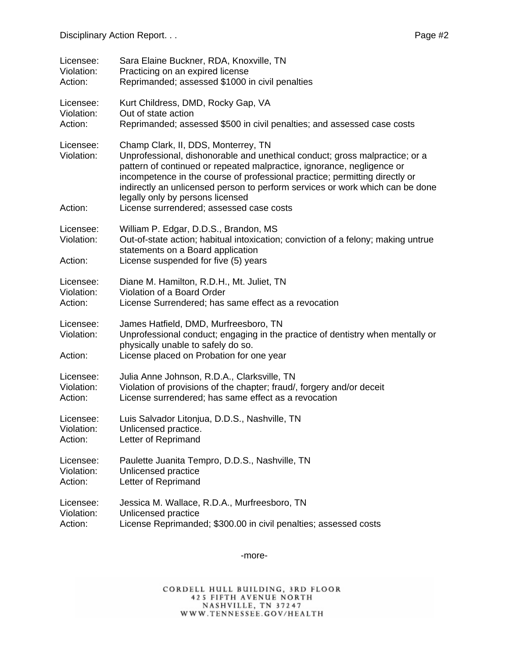| Licensee:                          | Sara Elaine Buckner, RDA, Knoxville, TN                                                                                                                                                                                                                                                                                                                                                                                                      |
|------------------------------------|----------------------------------------------------------------------------------------------------------------------------------------------------------------------------------------------------------------------------------------------------------------------------------------------------------------------------------------------------------------------------------------------------------------------------------------------|
| Violation:                         | Practicing on an expired license                                                                                                                                                                                                                                                                                                                                                                                                             |
| Action:                            | Reprimanded; assessed \$1000 in civil penalties                                                                                                                                                                                                                                                                                                                                                                                              |
| Licensee:                          | Kurt Childress, DMD, Rocky Gap, VA                                                                                                                                                                                                                                                                                                                                                                                                           |
| Violation:                         | Out of state action                                                                                                                                                                                                                                                                                                                                                                                                                          |
| Action:                            | Reprimanded; assessed \$500 in civil penalties; and assessed case costs                                                                                                                                                                                                                                                                                                                                                                      |
| Licensee:<br>Violation:<br>Action: | Champ Clark, II, DDS, Monterrey, TN<br>Unprofessional, dishonorable and unethical conduct; gross malpractice; or a<br>pattern of continued or repeated malpractice, ignorance, negligence or<br>incompetence in the course of professional practice; permitting directly or<br>indirectly an unlicensed person to perform services or work which can be done<br>legally only by persons licensed<br>License surrendered; assessed case costs |
| Licensee:<br>Violation:<br>Action: | William P. Edgar, D.D.S., Brandon, MS<br>Out-of-state action; habitual intoxication; conviction of a felony; making untrue<br>statements on a Board application<br>License suspended for five (5) years                                                                                                                                                                                                                                      |
| Licensee:                          | Diane M. Hamilton, R.D.H., Mt. Juliet, TN                                                                                                                                                                                                                                                                                                                                                                                                    |
| Violation:                         | Violation of a Board Order                                                                                                                                                                                                                                                                                                                                                                                                                   |
| Action:                            | License Surrendered; has same effect as a revocation                                                                                                                                                                                                                                                                                                                                                                                         |
| Licensee:<br>Violation:<br>Action: | James Hatfield, DMD, Murfreesboro, TN<br>Unprofessional conduct; engaging in the practice of dentistry when mentally or<br>physically unable to safely do so.<br>License placed on Probation for one year                                                                                                                                                                                                                                    |
| Licensee:                          | Julia Anne Johnson, R.D.A., Clarksville, TN                                                                                                                                                                                                                                                                                                                                                                                                  |
| Violation:                         | Violation of provisions of the chapter; fraud/, forgery and/or deceit                                                                                                                                                                                                                                                                                                                                                                        |
| Action:                            | License surrendered; has same effect as a revocation                                                                                                                                                                                                                                                                                                                                                                                         |
| Licensee:                          | Luis Salvador Litonjua, D.D.S., Nashville, TN                                                                                                                                                                                                                                                                                                                                                                                                |
| Violation:                         | Unlicensed practice.                                                                                                                                                                                                                                                                                                                                                                                                                         |
| Action:                            | Letter of Reprimand                                                                                                                                                                                                                                                                                                                                                                                                                          |
| Licensee:                          | Paulette Juanita Tempro, D.D.S., Nashville, TN                                                                                                                                                                                                                                                                                                                                                                                               |
| Violation:                         | Unlicensed practice                                                                                                                                                                                                                                                                                                                                                                                                                          |
| Action:                            | Letter of Reprimand                                                                                                                                                                                                                                                                                                                                                                                                                          |
| Licensee:                          | Jessica M. Wallace, R.D.A., Murfreesboro, TN                                                                                                                                                                                                                                                                                                                                                                                                 |
| Violation:                         | Unlicensed practice                                                                                                                                                                                                                                                                                                                                                                                                                          |
| Action:                            | License Reprimanded; \$300.00 in civil penalties; assessed costs                                                                                                                                                                                                                                                                                                                                                                             |

-more-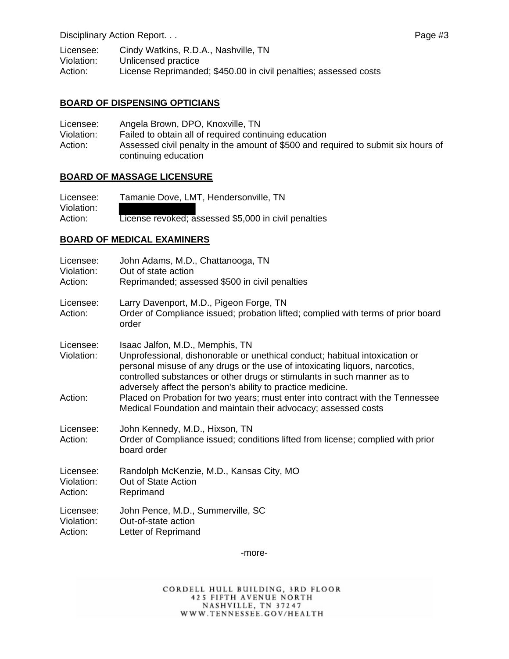Disciplinary Action Report. . . Page #3

Licensee: Cindy Watkins, R.D.A., Nashville, TN<br>Violation: Unlicensed practice Unlicensed practice Action: License Reprimanded; \$450.00 in civil penalties; assessed costs

#### **BOARD OF DISPENSING OPTICIANS**

Licensee: Angela Brown, DPO, Knoxville, TN Violation: Failed to obtain all of required continuing education Action: Assessed civil penalty in the amount of \$500 and required to submit six hours of continuing education

#### **BOARD OF MASSAGE LICENSURE**

Licensee: Tamanie Dove, LMT, Hendersonville, TN Violation: Action: License revoked; assessed \$5,000 in civil penalties

## **BOARD OF MEDICAL EXAMINERS**

| Licensee:<br>Violation:<br>Action: | John Adams, M.D., Chattanooga, TN<br>Out of state action<br>Reprimanded; assessed \$500 in civil penalties                                                                                                                                                                                                                              |
|------------------------------------|-----------------------------------------------------------------------------------------------------------------------------------------------------------------------------------------------------------------------------------------------------------------------------------------------------------------------------------------|
| Licensee:<br>Action:               | Larry Davenport, M.D., Pigeon Forge, TN<br>Order of Compliance issued; probation lifted; complied with terms of prior board<br>order                                                                                                                                                                                                    |
| Licensee:<br>Violation:            | Isaac Jalfon, M.D., Memphis, TN<br>Unprofessional, dishonorable or unethical conduct; habitual intoxication or<br>personal misuse of any drugs or the use of intoxicating liquors, narcotics,<br>controlled substances or other drugs or stimulants in such manner as to<br>adversely affect the person's ability to practice medicine. |
| Action:                            | Placed on Probation for two years; must enter into contract with the Tennessee<br>Medical Foundation and maintain their advocacy; assessed costs                                                                                                                                                                                        |
| Licensee:<br>Action:               | John Kennedy, M.D., Hixson, TN<br>Order of Compliance issued; conditions lifted from license; complied with prior<br>board order                                                                                                                                                                                                        |
| Licensee:<br>Violation:<br>Action: | Randolph McKenzie, M.D., Kansas City, MO<br>Out of State Action<br>Reprimand                                                                                                                                                                                                                                                            |
| Licensee:<br>Violation:<br>Action: | John Pence, M.D., Summerville, SC<br>Out-of-state action<br>Letter of Reprimand                                                                                                                                                                                                                                                         |

-more-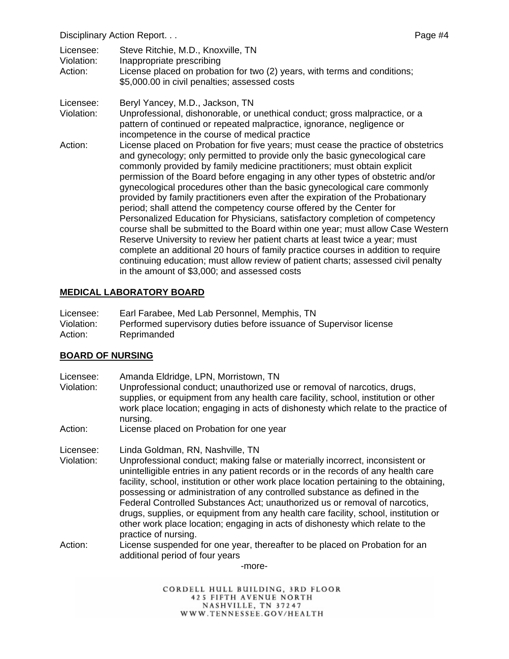Disciplinary Action Report. . . Page #4

| Licensee:  | Steve Ritchie, M.D., Knoxville, TN                                                                                         |
|------------|----------------------------------------------------------------------------------------------------------------------------|
| Violation: | Inappropriate prescribing                                                                                                  |
| Action:    | License placed on probation for two (2) years, with terms and conditions;<br>\$5,000.00 in civil penalties; assessed costs |

- Licensee: Beryl Yancey, M.D., Jackson, TN
- Violation: Unprofessional, dishonorable, or unethical conduct; gross malpractice, or a pattern of continued or repeated malpractice, ignorance, negligence or incompetence in the course of medical practice
- Action: License placed on Probation for five years; must cease the practice of obstetrics and gynecology; only permitted to provide only the basic gynecological care commonly provided by family medicine practitioners; must obtain explicit permission of the Board before engaging in any other types of obstetric and/or gynecological procedures other than the basic gynecological care commonly provided by family practitioners even after the expiration of the Probationary period; shall attend the competency course offered by the Center for Personalized Education for Physicians, satisfactory completion of competency course shall be submitted to the Board within one year; must allow Case Western Reserve University to review her patient charts at least twice a year; must complete an additional 20 hours of family practice courses in addition to require continuing education; must allow review of patient charts; assessed civil penalty in the amount of \$3,000; and assessed costs

## **MEDICAL LABORATORY BOARD**

| Licensee:  | Earl Farabee, Med Lab Personnel, Memphis, TN                       |
|------------|--------------------------------------------------------------------|
| Violation: | Performed supervisory duties before issuance of Supervisor license |
| Action:    | Reprimanded                                                        |

## **BOARD OF NURSING**

- Licensee: Amanda Eldridge, LPN, Morristown, TN
- Violation: Unprofessional conduct; unauthorized use or removal of narcotics, drugs, supplies, or equipment from any health care facility, school, institution or other work place location; engaging in acts of dishonesty which relate to the practice of nursing.

Action: License placed on Probation for one year

Licensee: Linda Goldman, RN, Nashville, TN

- Violation: Unprofessional conduct; making false or materially incorrect, inconsistent or unintelligible entries in any patient records or in the records of any health care facility, school, institution or other work place location pertaining to the obtaining, possessing or administration of any controlled substance as defined in the Federal Controlled Substances Act; unauthorized us or removal of narcotics, drugs, supplies, or equipment from any health care facility, school, institution or other work place location; engaging in acts of dishonesty which relate to the practice of nursing.
- Action: License suspended for one year, thereafter to be placed on Probation for an additional period of four years

-more-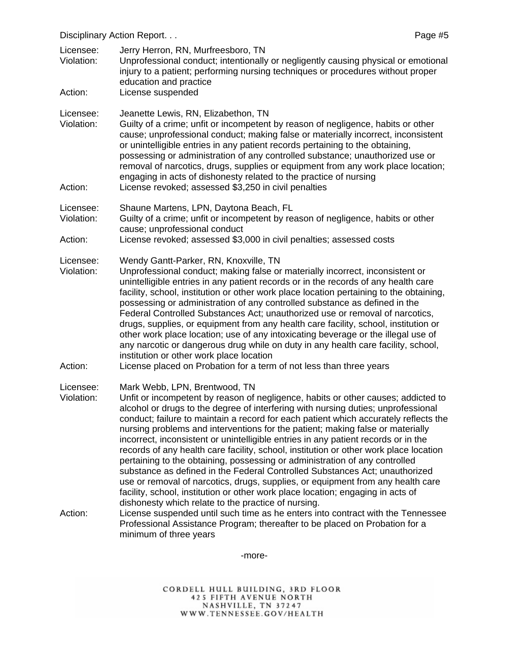Disciplinary Action Report. . . Page #5

Licensee: Jerry Herron, RN, Murfreesboro, TN Violation: Unprofessional conduct; intentionally or negligently causing physical or emotional injury to a patient; performing nursing techniques or procedures without proper education and practice Action: License suspended Licensee: Jeanette Lewis, RN, Elizabethon, TN Violation: Guilty of a crime; unfit or incompetent by reason of negligence, habits or other cause; unprofessional conduct; making false or materially incorrect, inconsistent or unintelligible entries in any patient records pertaining to the obtaining, possessing or administration of any controlled substance; unauthorized use or removal of narcotics, drugs, supplies or equipment from any work place location; engaging in acts of dishonesty related to the practice of nursing Action: License revoked; assessed \$3,250 in civil penalties Licensee: Shaune Martens, LPN, Daytona Beach, FL Violation: Guilty of a crime; unfit or incompetent by reason of negligence, habits or other cause; unprofessional conduct Action: License revoked; assessed \$3,000 in civil penalties; assessed costs Licensee: Wendy Gantt-Parker, RN, Knoxville, TN Violation: Unprofessional conduct; making false or materially incorrect, inconsistent or unintelligible entries in any patient records or in the records of any health care facility, school, institution or other work place location pertaining to the obtaining, possessing or administration of any controlled substance as defined in the Federal Controlled Substances Act; unauthorized use or removal of narcotics, drugs, supplies, or equipment from any health care facility, school, institution or other work place location; use of any intoxicating beverage or the illegal use of any narcotic or dangerous drug while on duty in any health care facility, school, institution or other work place location Action: License placed on Probation for a term of not less than three years Licensee: Mark Webb, LPN, Brentwood, TN Violation: Unfit or incompetent by reason of negligence, habits or other causes; addicted to alcohol or drugs to the degree of interfering with nursing duties; unprofessional conduct; failure to maintain a record for each patient which accurately reflects the nursing problems and interventions for the patient; making false or materially incorrect, inconsistent or unintelligible entries in any patient records or in the records of any health care facility, school, institution or other work place location pertaining to the obtaining, possessing or administration of any controlled substance as defined in the Federal Controlled Substances Act; unauthorized use or removal of narcotics, drugs, supplies, or equipment from any health care facility, school, institution or other work place location; engaging in acts of dishonesty which relate to the practice of nursing. Action: License suspended until such time as he enters into contract with the Tennessee Professional Assistance Program; thereafter to be placed on Probation for a minimum of three years

-more-